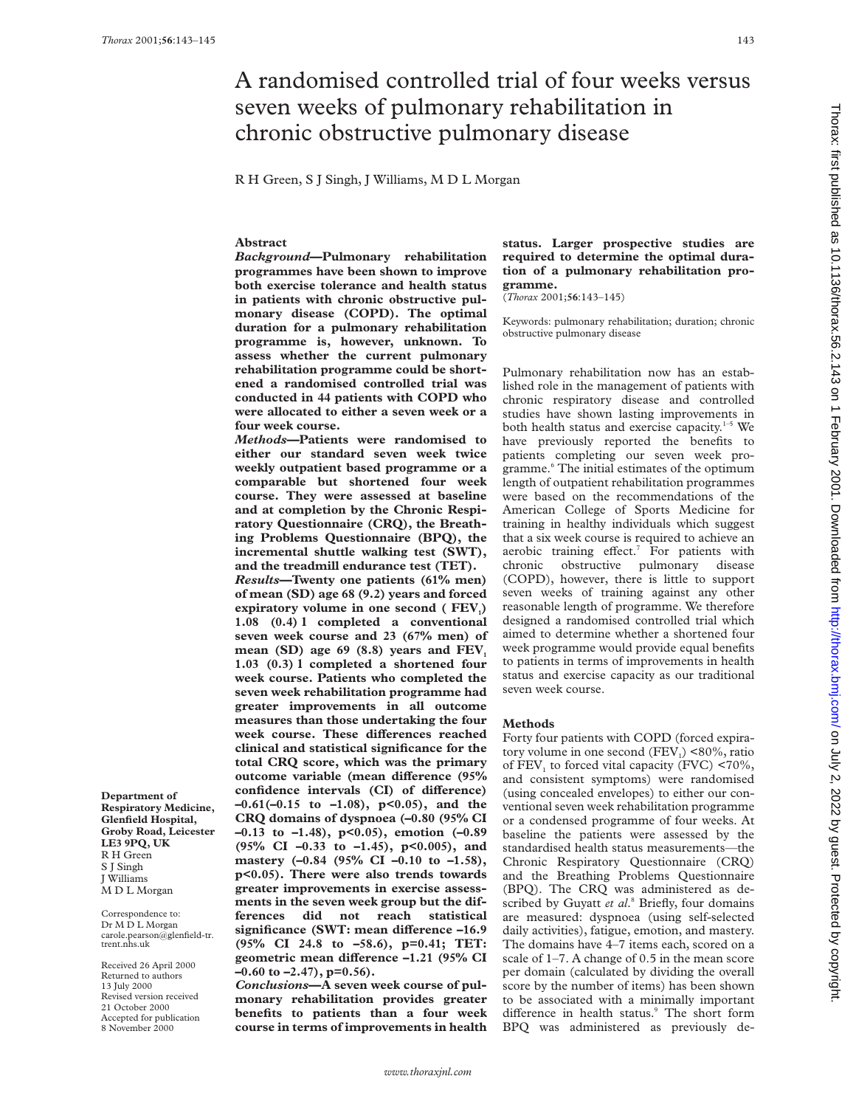# A randomised controlled trial of four weeks versus seven weeks of pulmonary rehabilitation in chronic obstructive pulmonary disease

R H Green, S J Singh, J Williams, M D L Morgan

## **Abstract**

*Background***—Pulmonary rehabilitation programmes have been shown to improve both exercise tolerance and health status in patients with chronic obstructive pulmonary disease (COPD). The optimal duration for a pulmonary rehabilitation programme is, however, unknown. To assess whether the current pulmonary rehabilitation programme could be shortened a randomised controlled trial was conducted in 44 patients with COPD who were allocated to either a seven week or a four week course.**

*Methods***—Patients were randomised to either our standard seven week twice weekly outpatient based programme or a comparable but shortened four week course. They were assessed at baseline and at completion by the Chronic Respiratory Questionnaire (CRQ), the Breathing Problems Questionnaire (BPQ), the incremental shuttle walking test (SWT), and the treadmill endurance test (TET).** *Results***—Twenty one patients (61% men) of mean (SD) age 68 (9.2) years and forced** expiratory volume in one second (FEV<sub>1</sub>) **1.08 (0.4) l completed a conventional seven week course and 23 (67% men) of** mean (SD) age  $69$  (8.8) years and  $FEV<sub>1</sub>$ **1.03 (0.3) l completed a shortened four week course. Patients who completed the seven week rehabilitation programme had greater improvements in all outcome measures than those undertaking the four** week course. These differences reached **clinical and statistical significance for the total CRQ score, which was the primary outcome variable (mean difference (95%** confidence intervals (CI) of difference) **–0.61(–0.15 to –1.08), p<0.05), and the CRQ domains of dyspnoea (–0.80 (95% CI –0.13 to –1.48), p<0.05), emotion (–0.89 (95% CI –0.33 to –1.45), p<0.005), and mastery (–0.84 (95% CI –0.10 to –1.58), p<0.05). There were also trends towards greater improvements in exercise assessments in the seven week group but the differences did not reach statistical significance (SWT: mean difference –16.9 (95% CI 24.8 to –58.6), p=0.41; TET: geometric mean diVerence –1.21 (95% CI –0.60 to –2.47), p=0.56).**

*Conclusions***—A seven week course of pulmonary rehabilitation provides greater benefits to patients than a four week course in terms of improvements in health** **status. Larger prospective studies are required to determine the optimal duration of a pulmonary rehabilitation programme.**

(*Thorax* 2001;**56**:143–145)

Keywords: pulmonary rehabilitation; duration; chronic obstructive pulmonary disease

Pulmonary rehabilitation now has an established role in the management of patients with chronic respiratory disease and controlled studies have shown lasting improvements in both health status and exercise capacity. $1-5$  We have previously reported the benefits to patients completing our seven week programme.6 The initial estimates of the optimum length of outpatient rehabilitation programmes were based on the recommendations of the American College of Sports Medicine for training in healthy individuals which suggest that a six week course is required to achieve an aerobic training effect.<sup>7</sup> For patients with chronic obstructive pulmonary disease (COPD), however, there is little to support seven weeks of training against any other reasonable length of programme. We therefore designed a randomised controlled trial which aimed to determine whether a shortened four week programme would provide equal benefits to patients in terms of improvements in health status and exercise capacity as our traditional seven week course.

### **Methods**

Forty four patients with COPD (forced expiratory volume in one second  $(FEV_1)$  <80%, ratio of  $FEV<sub>1</sub>$  to forced vital capacity (FVC) <70%, and consistent symptoms) were randomised (using concealed envelopes) to either our conventional seven week rehabilitation programme or a condensed programme of four weeks. At baseline the patients were assessed by the standardised health status measurements—the Chronic Respiratory Questionnaire (CRQ) and the Breathing Problems Questionnaire (BPQ). The CRQ was administered as described by Guyatt *et al*. <sup>8</sup> Briefly, four domains are measured: dyspnoea (using self-selected daily activities), fatigue, emotion, and mastery. The domains have 4–7 items each, scored on a scale of 1–7. A change of 0.5 in the mean score per domain (calculated by dividing the overall score by the number of items) has been shown to be associated with a minimally important difference in health status.<sup>9</sup> The short form BPQ was administered as previously de-

**Respiratory Medicine, Glenfield Hospital, Groby Road, Leicester LE3 9PQ, UK** R H Green S J Singh J Williams M D L Morgan

**Department of**

Correspondence to:  $\mathop{\rm Dr}\nolimits\mathop{\rm M\,\bar D}\nolimits$ L Morgan carole.pearson@glenfield-tr. trent.nhs.uk

Received 26 April 2000 Returned to authors 13 July 2000 Revised version received 21 October 2000 Accepted for publication 8 November 2000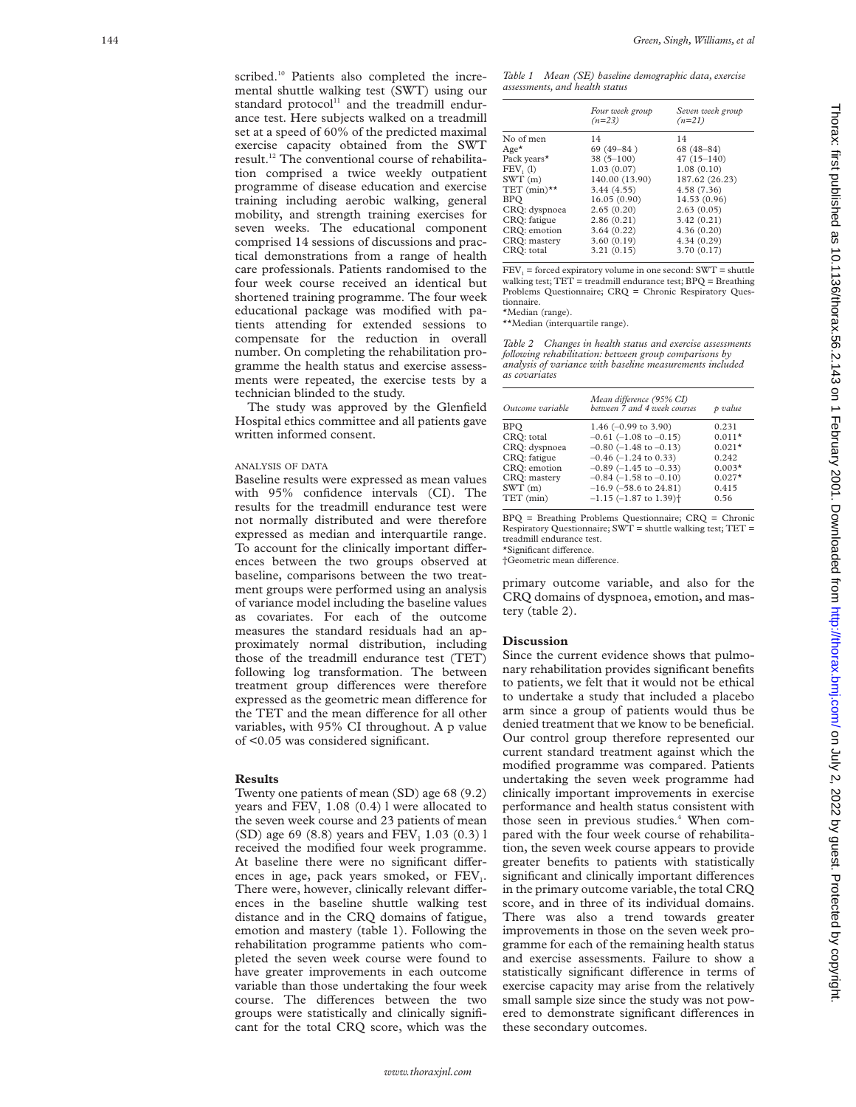scribed.<sup>10</sup> Patients also completed the incremental shuttle walking test (SWT) using our standard protocol<sup>11</sup> and the treadmill endurance test. Here subjects walked on a treadmill set at a speed of 60% of the predicted maximal exercise capacity obtained from the SWT result.12 The conventional course of rehabilitation comprised a twice weekly outpatient programme of disease education and exercise training including aerobic walking, general mobility, and strength training exercises for seven weeks. The educational component comprised 14 sessions of discussions and practical demonstrations from a range of health care professionals. Patients randomised to the four week course received an identical but shortened training programme. The four week educational package was modified with patients attending for extended sessions to compensate for the reduction in overall number. On completing the rehabilitation programme the health status and exercise assessments were repeated, the exercise tests by a technician blinded to the study.

The study was approved by the Glenfield Hospital ethics committee and all patients gave written informed consent.

#### ANALYSIS OF DATA

Baseline results were expressed as mean values with 95% confidence intervals (CI). The results for the treadmill endurance test were not normally distributed and were therefore expressed as median and interquartile range. To account for the clinically important differences between the two groups observed at baseline, comparisons between the two treatment groups were performed using an analysis of variance model including the baseline values as covariates. For each of the outcome measures the standard residuals had an approximately normal distribution, including those of the treadmill endurance test (TET) following log transformation. The between treatment group differences were therefore expressed as the geometric mean difference for the TET and the mean difference for all other variables, with 95% CI throughout. A p value of <0.05 was considered significant.

#### **Results**

Twenty one patients of mean (SD) age 68 (9.2) years and  $FEV<sub>1</sub>$  1.08 (0.4) l were allocated to the seven week course and 23 patients of mean (SD) age 69 (8.8) years and FEV <sup>1</sup> 1.03 (0.3) l received the modified four week programme. At baseline there were no significant differences in age, pack years smoked, or  $FEV<sub>1</sub>$ . There were, however, clinically relevant differences in the baseline shuttle walking test distance and in the CRQ domains of fatigue, emotion and mastery (table 1). Following the rehabilitation programme patients who completed the seven week course were found to have greater improvements in each outcome variable than those undertaking the four week course. The differences between the two groups were statistically and clinically significant for the total CRQ score, which was the

| Table 1                        |  | Mean (SE) baseline demographic data, exercise |  |
|--------------------------------|--|-----------------------------------------------|--|
| assessments, and health status |  |                                               |  |

|                  | Four week group<br>$(n=23)$ | Seven week group<br>$(n=21)$ |
|------------------|-----------------------------|------------------------------|
| No of men        | 14                          | 14                           |
| $Age*$           | $69(49 - 84)$               | $68(48-84)$                  |
| Pack years*      | $38(5 - 100)$               | $47(15 - 140)$               |
| FEV, (1)         | 1.03(0.07)                  | 1.08(0.10)                   |
| SWT(m)           | 140.00 (13.90)              | 187.62 (26.23)               |
| TET $(min)^{**}$ | 3.44(4.55)                  | 4.58 (7.36)                  |
| <b>BPO</b>       | 16.05(0.90)                 | 14.53 (0.96)                 |
| CRQ: dyspnoea    | 2.65(0.20)                  | 2.63(0.05)                   |
| CRO: fatigue     | 2.86(0.21)                  | 3.42(0.21)                   |
| CRO: emotion     | 3.64(0.22)                  | 4.36(0.20)                   |
| CRO: mastery     | 3.60(0.19)                  | 4.34 (0.29)                  |
| CRO: total       | 3.21(0.15)                  | 3.70(0.17)                   |

 $FEV<sub>1</sub>$  = forced expiratory volume in one second: SWT = shuttle walking test;  $TET$  = treadmill endurance test;  $BPQ$  = Breathing Problems Questionnaire; CRQ = Chronic Respiratory Questionnaire.

\*Median (range).

\*\*Median (interquartile range).

*Table 2 Changes in health status and exercise assessments following rehabilitation: between group comparisons by analysis of variance with baseline measurements included as covariates*

| Outcome variable | Mean difference (95% CI)<br>between 7 and 4 week courses | p value  |
|------------------|----------------------------------------------------------|----------|
| <b>BPO</b>       | 1.46 $(-0.99$ to 3.90)                                   | 0.231    |
| CRO: total       | $-0.61$ ( $-1.08$ to $-0.15$ )                           | $0.011*$ |
| CRQ: dyspnoea    | $-0.80$ ( $-1.48$ to $-0.13$ )                           | $0.021*$ |
| CRO: fatigue     | $-0.46$ ( $-1.24$ to 0.33)                               | 0.242    |
| CRQ: emotion     | $-0.89$ ( $-1.45$ to $-0.33$ )                           | $0.003*$ |
| CRO: mastery     | $-0.84$ (-1.58 to $-0.10$ )                              | $0.027*$ |
| SWT(m)           | $-16.9$ ( $-58.6$ to 24.81)                              | 0.415    |
| $TET$ (min)      | $-1.15$ ( $-1.87$ to 1.39) <sup>+</sup>                  | 0.56     |

BPQ = Breathing Problems Questionnaire; CRQ = Chronic Respiratory Questionnaire; SWT = shuttle walking test; TET = treadmill endurance test.

\*Significant difference.

†Geometric mean di Verence.

primary outcome variable, and also for the CRQ domains of dyspnoea, emotion, and mastery (table 2).

#### **Discussion**

Since the current evidence shows that pulmonary rehabilitation provides significant benefits to patients, we felt that it would not be ethical to undertake a study that included a placebo arm since a group of patients would thus be denied treatment that we know to be beneficial. Our control group therefore represented our current standard treatment against which the modified programme was compared. Patients undertaking the seven week programme had clinically important improvements in exercise performance and health status consistent with those seen in previous studies. <sup>4</sup> When compared with the four week course of rehabilitation, the seven week course appears to provide greater benefits to patients with statistically significant and clinically important differences in the primary outcome variable, the total CRQ score, and in three of its individual domains. There was also a trend towards greater improvements in those on the seven week programme for each of the remaining health status and exercise assessments. Failure to show a statistically significant difference in terms of exercise capacity may arise from the relatively small sample size since the study was not powered to demonstrate significant differences in these secondary outcomes.